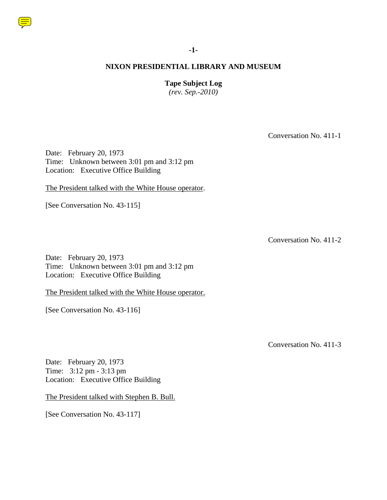

## **-1-**

#### **NIXON PRESIDENTIAL LIBRARY AND MUSEUM**

**Tape Subject Log**

*(rev. Sep.-2010)*

Conversation No. 411-1

Date: February 20, 1973 Time: Unknown between 3:01 pm and 3:12 pm Location: Executive Office Building

The President talked with the White House operator.

[See Conversation No. 43-115]

Conversation No. 411-2

Date: February 20, 1973 Time: Unknown between 3:01 pm and 3:12 pm Location: Executive Office Building

The President talked with the White House operator.

[See Conversation No. 43-116]

Conversation No. 411-3

Date: February 20, 1973 Time: 3:12 pm - 3:13 pm Location: Executive Office Building

The President talked with Stephen B. Bull.

[See Conversation No. 43-117]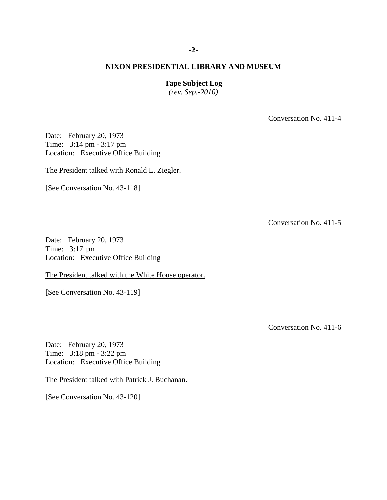**Tape Subject Log**

*(rev. Sep.-2010)*

Conversation No. 411-4

Date: February 20, 1973 Time: 3:14 pm - 3:17 pm Location: Executive Office Building

The President talked with Ronald L. Ziegler.

[See Conversation No. 43-118]

Conversation No. 411-5

Date: February 20, 1973 Time: 3:17 pm Location: Executive Office Building

The President talked with the White House operator.

[See Conversation No. 43-119]

Conversation No. 411-6

Date: February 20, 1973 Time: 3:18 pm - 3:22 pm Location: Executive Office Building

The President talked with Patrick J. Buchanan.

[See Conversation No. 43-120]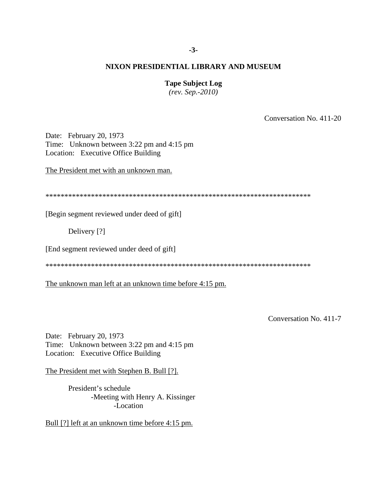#### **Tape Subject Log**

*(rev. Sep.-2010)*

Conversation No. 411-20

Date: February 20, 1973 Time: Unknown between 3:22 pm and 4:15 pm Location: Executive Office Building

The President met with an unknown man.

\*\*\*\*\*\*\*\*\*\*\*\*\*\*\*\*\*\*\*\*\*\*\*\*\*\*\*\*\*\*\*\*\*\*\*\*\*\*\*\*\*\*\*\*\*\*\*\*\*\*\*\*\*\*\*\*\*\*\*\*\*\*\*\*\*\*\*\*\*\*

[Begin segment reviewed under deed of gift]

Delivery [?]

[End segment reviewed under deed of gift]

\*\*\*\*\*\*\*\*\*\*\*\*\*\*\*\*\*\*\*\*\*\*\*\*\*\*\*\*\*\*\*\*\*\*\*\*\*\*\*\*\*\*\*\*\*\*\*\*\*\*\*\*\*\*\*\*\*\*\*\*\*\*\*\*\*\*\*\*\*\*

The unknown man left at an unknown time before 4:15 pm.

Conversation No. 411-7

Date: February 20, 1973 Time: Unknown between 3:22 pm and 4:15 pm Location: Executive Office Building

The President met with Stephen B. Bull [?].

President's schedule -Meeting with Henry A. Kissinger -Location

Bull [?] left at an unknown time before 4:15 pm.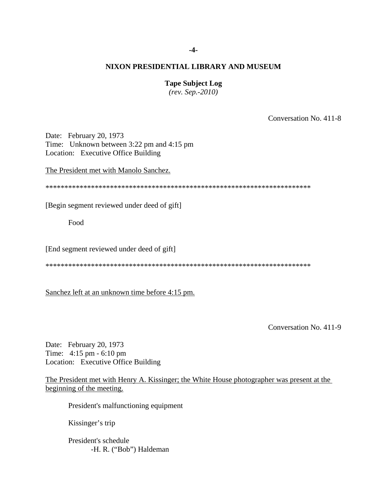# **Tape Subject Log**

*(rev. Sep.-2010)*

Conversation No. 411-8

Date: February 20, 1973 Time: Unknown between 3:22 pm and 4:15 pm Location: Executive Office Building

The President met with Manolo Sanchez.

\*\*\*\*\*\*\*\*\*\*\*\*\*\*\*\*\*\*\*\*\*\*\*\*\*\*\*\*\*\*\*\*\*\*\*\*\*\*\*\*\*\*\*\*\*\*\*\*\*\*\*\*\*\*\*\*\*\*\*\*\*\*\*\*\*\*\*\*\*\*

[Begin segment reviewed under deed of gift]

Food

[End segment reviewed under deed of gift]

\*\*\*\*\*\*\*\*\*\*\*\*\*\*\*\*\*\*\*\*\*\*\*\*\*\*\*\*\*\*\*\*\*\*\*\*\*\*\*\*\*\*\*\*\*\*\*\*\*\*\*\*\*\*\*\*\*\*\*\*\*\*\*\*\*\*\*\*\*\*

Sanchez left at an unknown time before 4:15 pm.

Conversation No. 411-9

Date: February 20, 1973 Time: 4:15 pm - 6:10 pm Location: Executive Office Building

The President met with Henry A. Kissinger; the White House photographer was present at the beginning of the meeting.

President's malfunctioning equipment

Kissinger's trip

President's schedule -H. R. ("Bob") Haldeman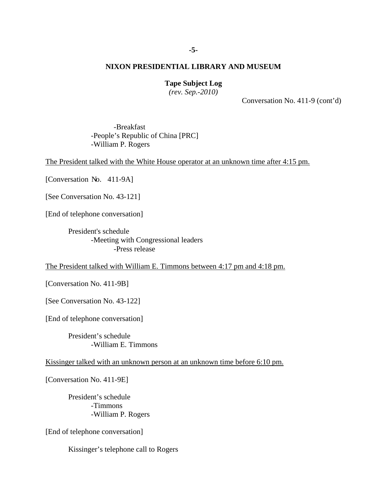**Tape Subject Log**

*(rev. Sep.-2010)*

Conversation No. 411-9 (cont'd)

-Breakfast -People's Republic of China [PRC] -William P. Rogers

The President talked with the White House operator at an unknown time after 4:15 pm.

[Conversation No. 411-9A]

[See Conversation No. 43-121]

[End of telephone conversation]

President's schedule -Meeting with Congressional leaders -Press release

The President talked with William E. Timmons between 4:17 pm and 4:18 pm.

[Conversation No. 411-9B]

[See Conversation No. 43-122]

[End of telephone conversation]

President's schedule -William E. Timmons

Kissinger talked with an unknown person at an unknown time before 6:10 pm.

[Conversation No. 411-9E]

President's schedule -Timmons -William P. Rogers

[End of telephone conversation]

Kissinger's telephone call to Rogers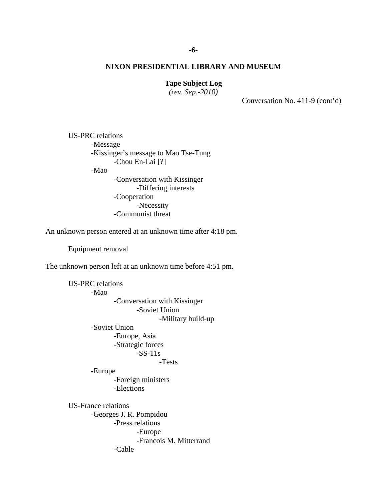# **Tape Subject Log**

*(rev. Sep.-2010)*

Conversation No. 411-9 (cont'd)

US-PRC relations -Message -Kissinger's message to Mao Tse-Tung -Chou En-Lai [?] -Mao -Conversation with Kissinger -Differing interests -Cooperation -Necessity -Communist threat

An unknown person entered at an unknown time after 4:18 pm.

Equipment removal

The unknown person left at an unknown time before 4:51 pm.

US-PRC relations -Mao -Conversation with Kissinger -Soviet Union -Military build-up -Soviet Union -Europe, Asia -Strategic forces -SS-11s -Tests -Europe -Foreign ministers -Elections US-France relations -Georges J. R. Pompidou -Press relations -Europe -Francois M. Mitterrand -Cable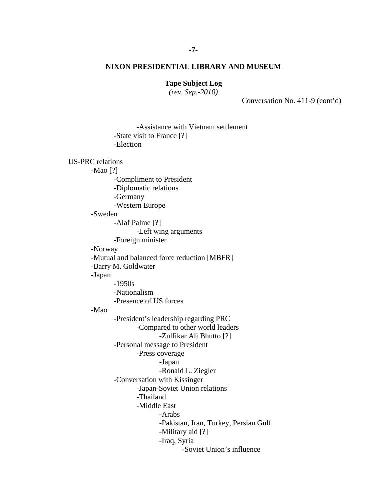# **Tape Subject Log**

*(rev. Sep.-2010)*

Conversation No. 411-9 (cont'd)

-Assistance with Vietnam settlement -State visit to France [?] -Election US-PRC relations -Mao [?] -Compliment to President -Diplomatic relations -Germany -Western Europe -Sweden -Alaf Palme [?] -Left wing arguments -Foreign minister -Norway -Mutual and balanced force reduction [MBFR] -Barry M. Goldwater -Japan -1950s -Nationalism -Presence of US forces -Mao -President's leadership regarding PRC -Compared to other world leaders -Zulfikar Ali Bhutto [?] -Personal message to President -Press coverage -Japan -Ronald L. Ziegler -Conversation with Kissinger -Japan-Soviet Union relations -Thailand -Middle East -Arabs -Pakistan, Iran, Turkey, Persian Gulf -Military aid [?] -Iraq, Syria -Soviet Union's influence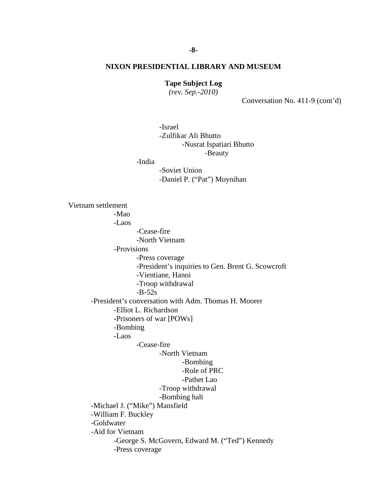#### **Tape Subject Log**

*(rev. Sep.-2010)*

Conversation No. 411-9 (cont'd)

-Israel -Zulfikar Ali Bhutto -Nusrat Ispatiari Bhutto -Beauty

-India

-Soviet Union -Daniel P. ("Pat") Moynihan

Vietnam settlement -Mao -Laos -Cease-fire -North Vietnam -Provisions -Press coverage -President's inquiries to Gen. Brent G. Scowcroft -Vientiane, Hanoi -Troop withdrawal  $-B-52s$ -President's conversation with Adm. Thomas H. Moorer -Elliot L. Richardson -Prisoners of war [POWs] -Bombing -Laos -Cease-fire -North Vietnam -Bombing -Role of PRC -Pathet Lao -Troop withdrawal -Bombing halt -Michael J. ("Mike") Mansfield -William F. Buckley -Goldwater -Aid for Vietnam -George S. McGovern, Edward M. ("Ted") Kennedy -Press coverage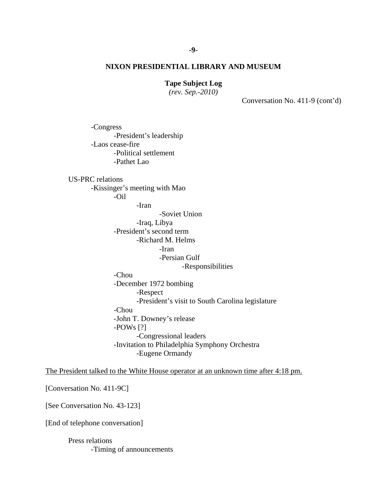#### **Tape Subject Log**

*(rev. Sep.-2010)*

Conversation No. 411-9 (cont'd)

-Congress -President's leadership -Laos cease-fire -Political settlement -Pathet Lao

US-PRC relations

-Kissinger's meeting with Mao

-Oil

-Iran

-Soviet Union

-Iraq, Libya

-President's second term -Richard M. Helms

-Iran

-Persian Gulf

-Responsibilities

-Chou

-December 1972 bombing -Respect -President's visit to South Carolina legislature -Chou -John T. Downey's release -POWs [?] -Congressional leaders -Invitation to Philadelphia Symphony Orchestra -Eugene Ormandy

The President talked to the White House operator at an unknown time after 4:18 pm.

[Conversation No. 411-9C]

[See Conversation No. 43-123]

[End of telephone conversation]

Press relations -Timing of announcements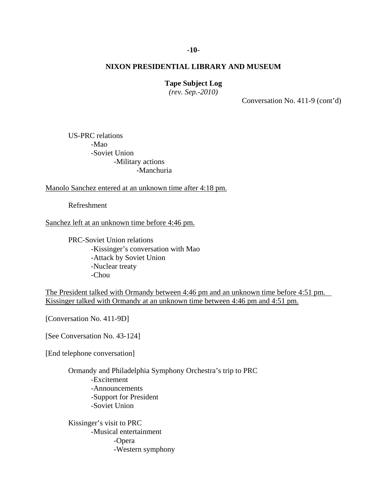# **Tape Subject Log**

*(rev. Sep.-2010)*

Conversation No. 411-9 (cont'd)

US-PRC relations -Mao -Soviet Union -Military actions -Manchuria

Manolo Sanchez entered at an unknown time after 4:18 pm.

Refreshment

Sanchez left at an unknown time before 4:46 pm.

PRC-Soviet Union relations -Kissinger's conversation with Mao -Attack by Soviet Union -Nuclear treaty -Chou

The President talked with Ormandy between 4:46 pm and an unknown time before 4:51 pm. Kissinger talked with Ormandy at an unknown time between 4:46 pm and 4:51 pm.

[Conversation No. 411-9D]

[See Conversation No. 43-124]

[End telephone conversation]

Ormandy and Philadelphia Symphony Orchestra's trip to PRC -Excitement -Announcements -Support for President -Soviet Union

Kissinger's visit to PRC -Musical entertainment -Opera -Western symphony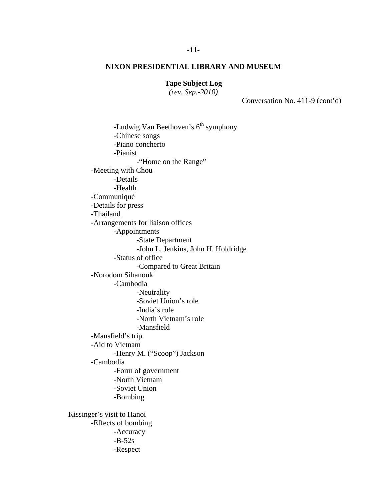# **Tape Subject Log**

*(rev. Sep.-2010)*

Conversation No. 411-9 (cont'd)

-Ludwig Van Beethoven's  $6<sup>th</sup>$  symphony -Chinese songs -Piano concherto -Pianist -"Home on the Range" -Meeting with Chou -Details -Health -Communiqué -Details for press -Thailand -Arrangements for liaison offices -Appointments -State Department -John L. Jenkins, John H. Holdridge -Status of office -Compared to Great Britain -Norodom Sihanouk -Cambodia -Neutrality -Soviet Union's role -India's role -North Vietnam's role -Mansfield -Mansfield's trip -Aid to Vietnam -Henry M. ("Scoop") Jackson -Cambodia -Form of government -North Vietnam -Soviet Union -Bombing Kissinger's visit to Hanoi -Effects of bombing -Accuracy  $-B-52s$ -Respect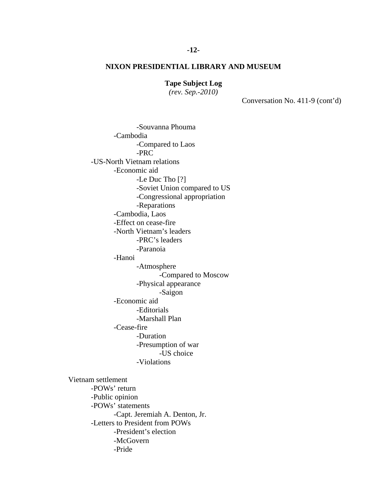# **Tape Subject Log**

*(rev. Sep.-2010)*

-Souvanna Phouma

Conversation No. 411-9 (cont'd)

-Cambodia -Compared to Laos -PRC -US-North Vietnam relations -Economic aid -Le Duc Tho [?] -Soviet Union compared to US -Congressional appropriation -Reparations -Cambodia, Laos -Effect on cease-fire -North Vietnam's leaders -PRC's leaders -Paranoia -Hanoi -Atmosphere -Compared to Moscow -Physical appearance -Saigon -Economic aid -Editorials -Marshall Plan -Cease-fire -Duration -Presumption of war -US choice -Violations Vietnam settlement -POWs' return -Public opinion -POWs' statements -Capt. Jeremiah A. Denton, Jr. -Letters to President from POWs -President's election -McGovern -Pride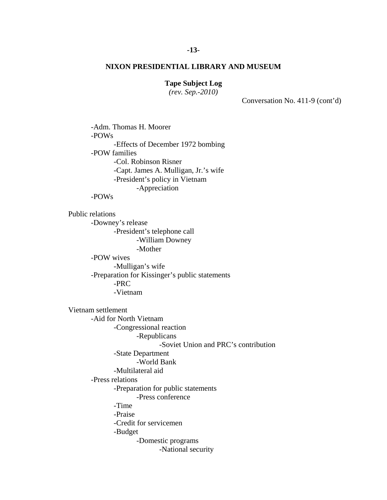## **Tape Subject Log**

*(rev. Sep.-2010)*

Conversation No. 411-9 (cont'd)

-Adm. Thomas H. Moorer -POWs -Effects of December 1972 bombing -POW families -Col. Robinson Risner -Capt. James A. Mulligan, Jr.'s wife -President's policy in Vietnam -Appreciation -POWs Public relations -Downey's release -President's telephone call -William Downey -Mother -POW wives -Mulligan's wife -Preparation for Kissinger's public statements -PRC -Vietnam Vietnam settlement -Aid for North Vietnam -Congressional reaction -Republicans -Soviet Union and PRC's contribution -State Department -World Bank -Multilateral aid -Press relations -Preparation for public statements -Press conference -Time -Praise -Credit for servicemen -Budget -Domestic programs -National security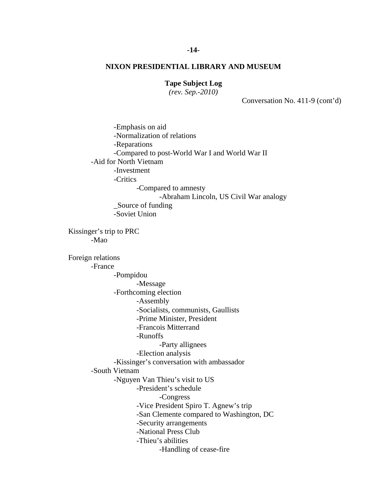# **Tape Subject Log**

*(rev. Sep.-2010)*

Conversation No. 411-9 (cont'd)

-Emphasis on aid -Normalization of relations -Reparations -Compared to post-World War I and World War II -Aid for North Vietnam -Investment -Critics -Compared to amnesty -Abraham Lincoln, US Civil War analogy \_Source of funding -Soviet Union Kissinger's trip to PRC -Mao Foreign relations -France -Pompidou -Message -Forthcoming election -Assembly -Socialists, communists, Gaullists -Prime Minister, President -Francois Mitterrand -Runoffs -Party allignees -Election analysis -Kissinger's conversation with ambassador -South Vietnam -Nguyen Van Thieu's visit to US -President's schedule -Congress -Vice President Spiro T. Agnew's trip -San Clemente compared to Washington, DC -Security arrangements -National Press Club -Thieu's abilities -Handling of cease-fire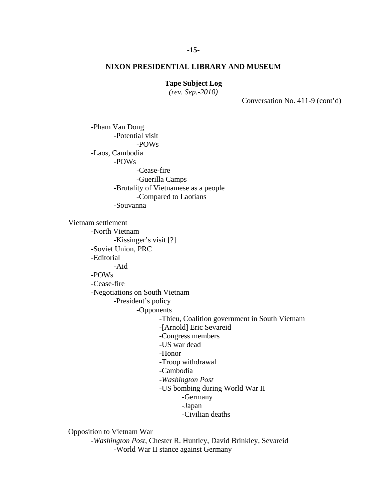## **Tape Subject Log**

*(rev. Sep.-2010)*

Conversation No. 411-9 (cont'd)

-Pham Van Dong -Potential visit -POWs -Laos, Cambodia -POWs -Cease-fire -Guerilla Camps -Brutality of Vietnamese as a people -Compared to Laotians -Souvanna Vietnam settlement -North Vietnam -Kissinger's visit [?] -Soviet Union, PRC -Editorial -Aid -POWs -Cease-fire -Negotiations on South Vietnam -President's policy -Opponents -Thieu, Coalition government in South Vietnam -[Arnold] Eric Sevareid -Congress members -US war dead -Honor -Troop withdrawal -Cambodia -*Washington Post* -US bombing during World War II -Germany -Japan -Civilian deaths

Opposition to Vietnam War

-*Washington Post*, Chester R. Huntley, David Brinkley, Sevareid -World War II stance against Germany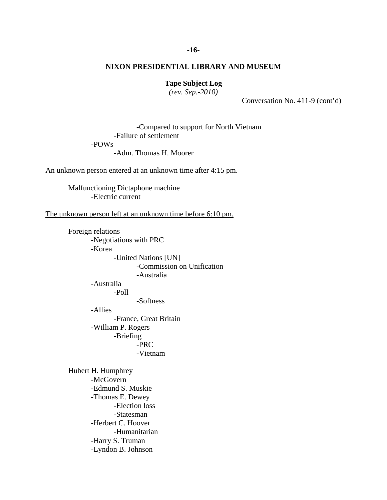#### **-16-**

# **NIXON PRESIDENTIAL LIBRARY AND MUSEUM**

#### **Tape Subject Log**

*(rev. Sep.-2010)*

Conversation No. 411-9 (cont'd)

-Compared to support for North Vietnam -Failure of settlement

-POWs

-Adm. Thomas H. Moorer

An unknown person entered at an unknown time after 4:15 pm.

Malfunctioning Dictaphone machine -Electric current

The unknown person left at an unknown time before 6:10 pm.

Foreign relations -Negotiations with PRC -Korea -United Nations [UN] -Commission on Unification -Australia -Australia -Poll -Softness -Allies -France, Great Britain -William P. Rogers -Briefing -PRC -Vietnam Hubert H. Humphrey -McGovern

-Edmund S. Muskie -Thomas E. Dewey -Election loss -Statesman -Herbert C. Hoover -Humanitarian -Harry S. Truman -Lyndon B. Johnson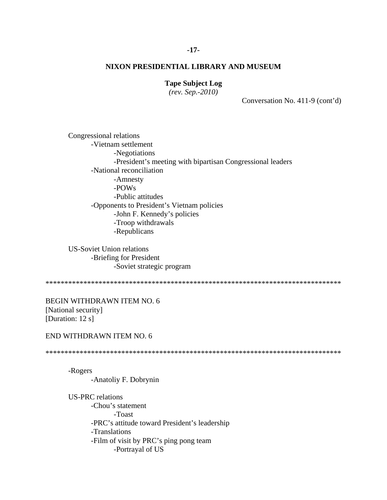# **Tape Subject Log**

*(rev. Sep.-2010)*

Conversation No. 411-9 (cont'd)

Congressional relations -Vietnam settlement -Negotiations -President's meeting with bipartisan Congressional leaders -National reconciliation -Amnesty -POWs -Public attitudes -Opponents to President's Vietnam policies -John F. Kennedy's policies -Troop withdrawals -Republicans

US-Soviet Union relations -Briefing for President -Soviet strategic program

\*\*\*\*\*\*\*\*\*\*\*\*\*\*\*\*\*\*\*\*\*\*\*\*\*\*\*\*\*\*\*\*\*\*\*\*\*\*\*\*\*\*\*\*\*\*\*\*\*\*\*\*\*\*\*\*\*\*\*\*\*\*\*\*\*\*\*\*\*\*\*\*\*\*\*\*\*\*

BEGIN WITHDRAWN ITEM NO. 6 [National security] [Duration: 12 s]

#### END WITHDRAWN ITEM NO. 6

\*\*\*\*\*\*\*\*\*\*\*\*\*\*\*\*\*\*\*\*\*\*\*\*\*\*\*\*\*\*\*\*\*\*\*\*\*\*\*\*\*\*\*\*\*\*\*\*\*\*\*\*\*\*\*\*\*\*\*\*\*\*\*\*\*\*\*\*\*\*\*\*\*\*\*\*\*\*

-Rogers -Anatoliy F. Dobrynin

US-PRC relations -Chou's statement -Toast -PRC's attitude toward President's leadership -Translations -Film of visit by PRC's ping pong team -Portrayal of US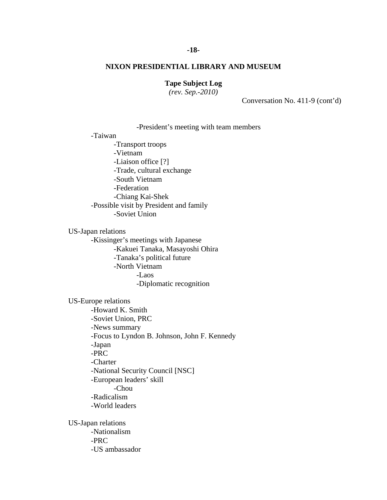# **Tape Subject Log**

*(rev. Sep.-2010)*

Conversation No. 411-9 (cont'd)

#### -President's meeting with team members

-Taiwan

-Transport troops -Vietnam -Liaison office [?] -Trade, cultural exchange -South Vietnam -Federation -Chiang Kai-Shek -Possible visit by President and family -Soviet Union

US-Japan relations -Kissinger's meetings with Japanese

-Kakuei Tanaka, Masayoshi Ohira -Tanaka's political future -North Vietnam -Laos -Diplomatic recognition

US-Europe relations -Howard K. Smith -Soviet Union, PRC -News summary -Focus to Lyndon B. Johnson, John F. Kennedy -Japan -PRC -Charter -National Security Council [NSC] -European leaders' skill -Chou -Radicalism -World leaders US-Japan relations

-Nationalism -PRC -US ambassador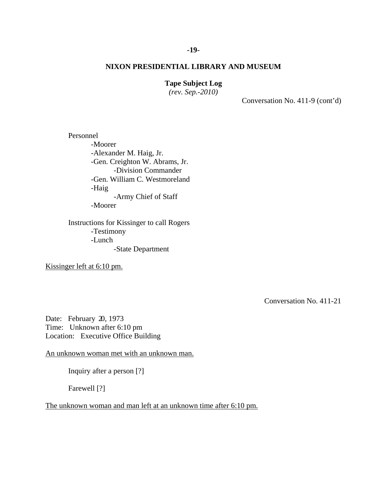# **Tape Subject Log**

*(rev. Sep.-2010)*

Conversation No. 411-9 (cont'd)

Personnel -Moorer -Alexander M. Haig, Jr. -Gen. Creighton W. Abrams, Jr. -Division Commander -Gen. William C. Westmoreland -Haig -Army Chief of Staff -Moorer

Instructions for Kissinger to call Rogers -Testimony -Lunch -State Department

Kissinger left at 6:10 pm.

Conversation No. 411-21

Date: February 20, 1973 Time: Unknown after 6:10 pm Location: Executive Office Building

An unknown woman met with an unknown man.

Inquiry after a person [?]

Farewell [?]

The unknown woman and man left at an unknown time after 6:10 pm.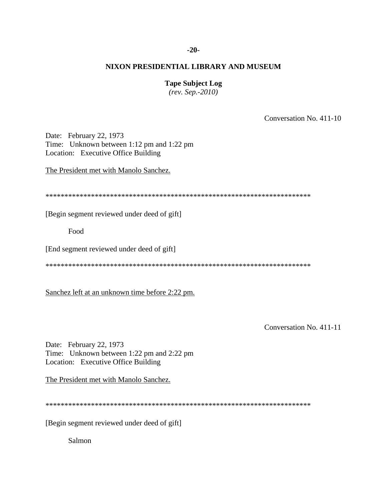#### **-20-**

# **NIXON PRESIDENTIAL LIBRARY AND MUSEUM**

## **Tape Subject Log**

*(rev. Sep.-2010)*

Conversation No. 411-10

Date: February 22, 1973 Time: Unknown between 1:12 pm and 1:22 pm Location: Executive Office Building

The President met with Manolo Sanchez.

\*\*\*\*\*\*\*\*\*\*\*\*\*\*\*\*\*\*\*\*\*\*\*\*\*\*\*\*\*\*\*\*\*\*\*\*\*\*\*\*\*\*\*\*\*\*\*\*\*\*\*\*\*\*\*\*\*\*\*\*\*\*\*\*\*\*\*\*\*\*

[Begin segment reviewed under deed of gift]

Food

[End segment reviewed under deed of gift]

\*\*\*\*\*\*\*\*\*\*\*\*\*\*\*\*\*\*\*\*\*\*\*\*\*\*\*\*\*\*\*\*\*\*\*\*\*\*\*\*\*\*\*\*\*\*\*\*\*\*\*\*\*\*\*\*\*\*\*\*\*\*\*\*\*\*\*\*\*\*

Sanchez left at an unknown time before 2:22 pm.

Conversation No. 411-11

Date: February 22, 1973 Time: Unknown between 1:22 pm and 2:22 pm Location: Executive Office Building

The President met with Manolo Sanchez.

\*\*\*\*\*\*\*\*\*\*\*\*\*\*\*\*\*\*\*\*\*\*\*\*\*\*\*\*\*\*\*\*\*\*\*\*\*\*\*\*\*\*\*\*\*\*\*\*\*\*\*\*\*\*\*\*\*\*\*\*\*\*\*\*\*\*\*\*\*\*

[Begin segment reviewed under deed of gift]

Salmon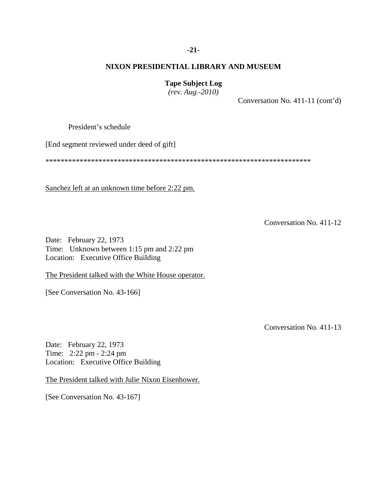#### **-21-**

# **NIXON PRESIDENTIAL LIBRARY AND MUSEUM**

# **Tape Subject Log**

*(rev. Aug.-2010)*

Conversation No. 411-11 (cont'd)

President's schedule

[End segment reviewed under deed of gift]

\*\*\*\*\*\*\*\*\*\*\*\*\*\*\*\*\*\*\*\*\*\*\*\*\*\*\*\*\*\*\*\*\*\*\*\*\*\*\*\*\*\*\*\*\*\*\*\*\*\*\*\*\*\*\*\*\*\*\*\*\*\*\*\*\*\*\*\*\*\*

Sanchez left at an unknown time before 2:22 pm.

Conversation No. 411-12

Date: February 22, 1973 Time: Unknown between 1:15 pm and 2:22 pm Location: Executive Office Building

The President talked with the White House operator.

[See Conversation No. 43-166]

Conversation No. 411-13

Date: February 22, 1973 Time: 2:22 pm - 2:24 pm Location: Executive Office Building

The President talked with Julie Nixon Eisenhower.

[See Conversation No. 43-167]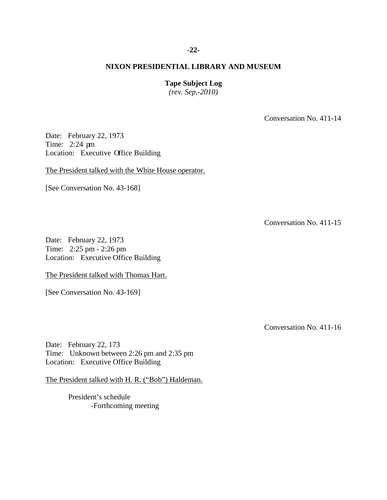#### **-22-**

# **NIXON PRESIDENTIAL LIBRARY AND MUSEUM**

#### **Tape Subject Log**

*(rev. Sep.-2010)*

Conversation No. 411-14

Date: February 22, 1973 Time: 2:24 pm Location: Executive Office Building

The President talked with the White House operator.

[See Conversation No. 43-168]

Conversation No. 411-15

Date: February 22, 1973 Time: 2:25 pm - 2:26 pm Location: Executive Office Building

The President talked with Thomas Hart.

[See Conversation No. 43-169]

Conversation No. 411-16

Date: February 22, 173 Time: Unknown between 2:26 pm and 2:35 pm Location: Executive Office Building

The President talked with H. R. ("Bob") Haldeman.

President's schedule -Forthcoming meeting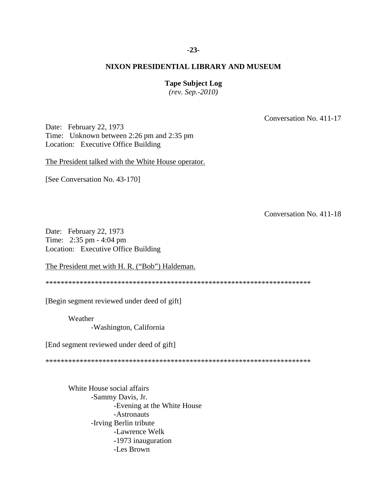#### **-23-**

#### **NIXON PRESIDENTIAL LIBRARY AND MUSEUM**

#### **Tape Subject Log**

*(rev. Sep.-2010)*

Conversation No. 411-17

Date: February 22, 1973 Time: Unknown between 2:26 pm and 2:35 pm Location: Executive Office Building

The President talked with the White House operator.

[See Conversation No. 43-170]

Conversation No. 411-18

Date: February 22, 1973 Time: 2:35 pm - 4:04 pm Location: Executive Office Building

The President met with H. R. ("Bob") Haldeman.

\*\*\*\*\*\*\*\*\*\*\*\*\*\*\*\*\*\*\*\*\*\*\*\*\*\*\*\*\*\*\*\*\*\*\*\*\*\*\*\*\*\*\*\*\*\*\*\*\*\*\*\*\*\*\*\*\*\*\*\*\*\*\*\*\*\*\*\*\*\*

[Begin segment reviewed under deed of gift]

Weather

-Washington, California

[End segment reviewed under deed of gift]

\*\*\*\*\*\*\*\*\*\*\*\*\*\*\*\*\*\*\*\*\*\*\*\*\*\*\*\*\*\*\*\*\*\*\*\*\*\*\*\*\*\*\*\*\*\*\*\*\*\*\*\*\*\*\*\*\*\*\*\*\*\*\*\*\*\*\*\*\*\*

White House social affairs -Sammy Davis, Jr. -Evening at the White House -Astronauts -Irving Berlin tribute -Lawrence Welk -1973 inauguration -Les Brown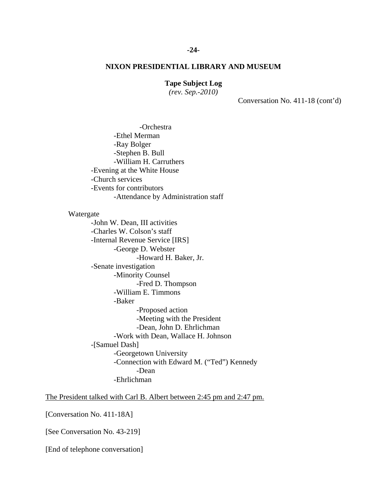#### **Tape Subject Log**

*(rev. Sep.-2010)*

Conversation No. 411-18 (cont'd)

-Orchestra -Ethel Merman -Ray Bolger -Stephen B. Bull -William H. Carruthers -Evening at the White House -Church services -Events for contributors -Attendance by Administration staff

#### Watergate

-John W. Dean, III activities -Charles W. Colson's staff -Internal Revenue Service [IRS] -George D. Webster -Howard H. Baker, Jr. -Senate investigation -Minority Counsel -Fred D. Thompson -William E. Timmons -Baker -Proposed action -Meeting with the President -Dean, John D. Ehrlichman -Work with Dean, Wallace H. Johnson -[Samuel Dash] -Georgetown University -Connection with Edward M. ("Ted") Kennedy -Dean -Ehrlichman

The President talked with Carl B. Albert between 2:45 pm and 2:47 pm.

[Conversation No. 411-18A]

[See Conversation No. 43-219]

[End of telephone conversation]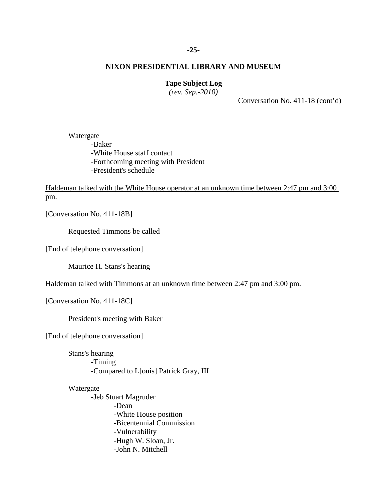# **-25-**

#### **NIXON PRESIDENTIAL LIBRARY AND MUSEUM**

# **Tape Subject Log**

*(rev. Sep.-2010)*

Conversation No. 411-18 (cont'd)

Watergate -Baker -White House staff contact -Forthcoming meeting with President -President's schedule

Haldeman talked with the White House operator at an unknown time between 2:47 pm and 3:00 pm.

[Conversation No. 411-18B]

Requested Timmons be called

[End of telephone conversation]

Maurice H. Stans's hearing

Haldeman talked with Timmons at an unknown time between 2:47 pm and 3:00 pm.

[Conversation No. 411-18C]

President's meeting with Baker

[End of telephone conversation]

Stans's hearing -Timing -Compared to L[ouis] Patrick Gray, III

#### Watergate

-Jeb Stuart Magruder -Dean -White House position -Bicentennial Commission -Vulnerability -Hugh W. Sloan, Jr. -John N. Mitchell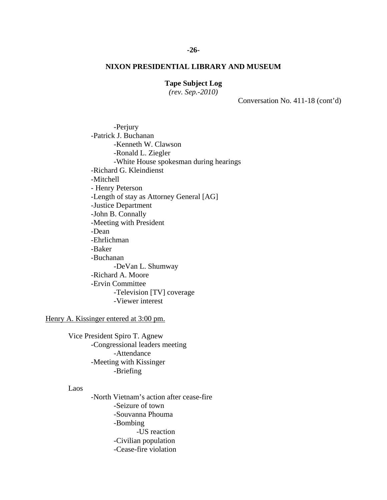# **Tape Subject Log**

*(rev. Sep.-2010)*

Conversation No. 411-18 (cont'd)

-Perjury -Patrick J. Buchanan -Kenneth W. Clawson -Ronald L. Ziegler -White House spokesman during hearings -Richard G. Kleindienst -Mitchell - Henry Peterson -Length of stay as Attorney General [AG] -Justice Department -John B. Connally -Meeting with President -Dean -Ehrlichman -Baker -Buchanan -DeVan L. Shumway -Richard A. Moore -Ervin Committee -Television [TV] coverage -Viewer interest

Henry A. Kissinger entered at 3:00 pm.

Vice President Spiro T. Agnew -Congressional leaders meeting -Attendance -Meeting with Kissinger -Briefing

#### Laos

-North Vietnam's action after cease-fire -Seizure of town -Souvanna Phouma -Bombing -US reaction -Civilian population -Cease-fire violation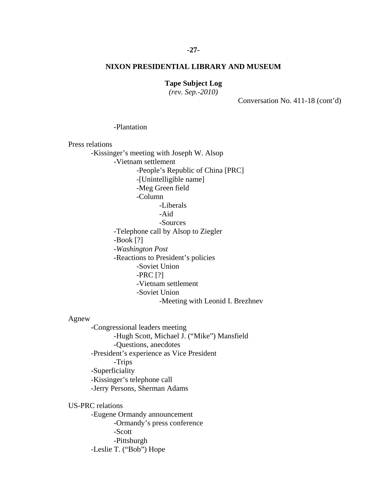# **-27-**

#### **NIXON PRESIDENTIAL LIBRARY AND MUSEUM**

# **Tape Subject Log**

*(rev. Sep.-2010)*

Conversation No. 411-18 (cont'd)

#### -Plantation

#### Press relations

-Kissinger's meeting with Joseph W. Alsop

-Vietnam settlement

-People's Republic of China [PRC]

-[Unintelligible name]

-Meg Green field

-Column

-Liberals

-Aid

-Sources

-Telephone call by Alsop to Ziegler

-Book [?]

-*Washington Post*

-Reactions to President's policies

-Soviet Union

-PRC [?]

-Vietnam settlement

-Soviet Union

-Meeting with Leonid I. Brezhnev

#### Agnew

-Congressional leaders meeting -Hugh Scott, Michael J. ("Mike") Mansfield -Questions, anecdotes -President's experience as Vice President -Trips -Superficiality -Kissinger's telephone call -Jerry Persons, Sherman Adams

US-PRC relations

-Eugene Ormandy announcement -Ormandy's press conference -Scott -Pittsburgh -Leslie T. ("Bob") Hope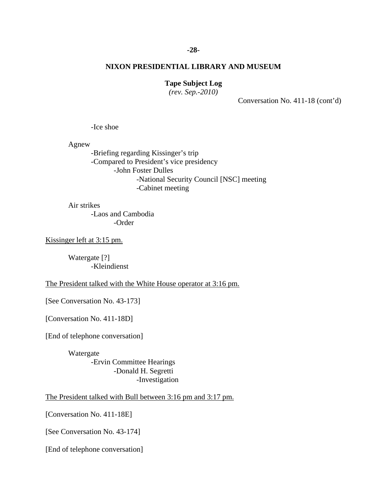#### **-28-**

#### **NIXON PRESIDENTIAL LIBRARY AND MUSEUM**

# **Tape Subject Log**

*(rev. Sep.-2010)*

Conversation No. 411-18 (cont'd)

-Ice shoe

Agnew

-Briefing regarding Kissinger's trip -Compared to President's vice presidency -John Foster Dulles -National Security Council [NSC] meeting -Cabinet meeting

Air strikes -Laos and Cambodia -Order

Kissinger left at 3:15 pm.

Watergate [?] -Kleindienst

The President talked with the White House operator at 3:16 pm.

[See Conversation No. 43-173]

[Conversation No. 411-18D]

[End of telephone conversation]

Watergate -Ervin Committee Hearings -Donald H. Segretti -Investigation

The President talked with Bull between 3:16 pm and 3:17 pm.

[Conversation No. 411-18E]

[See Conversation No. 43-174]

[End of telephone conversation]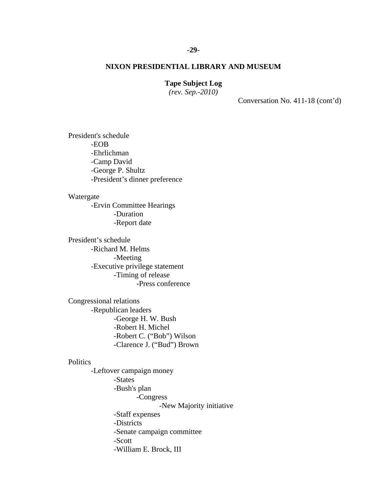## **Tape Subject Log**

*(rev. Sep.-2010)*

Conversation No. 411-18 (cont'd)

President's schedule -EOB -Ehrlichman -Camp David -George P. Shultz -President's dinner preference

Watergate

-Ervin Committee Hearings -Duration -Report date

President's schedule -Richard M. Helms -Meeting -Executive privilege statement -Timing of release -Press conference

Congressional relations -Republican leaders -George H. W. Bush -Robert H. Michel -Robert C. ("Bob") Wilson -Clarence J. ("Bud") Brown

#### **Politics**

-Leftover campaign money -States -Bush's plan -Congress -New Majority initiative -Staff expenses -Districts -Senate campaign committee -Scott -William E. Brock, III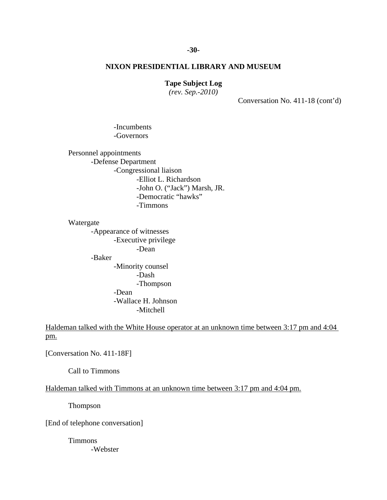## **Tape Subject Log**

*(rev. Sep.-2010)*

Conversation No. 411-18 (cont'd)

-Incumbents -Governors

Personnel appointments -Defense Department -Congressional liaison -Elliot L. Richardson -John O. ("Jack") Marsh, JR. -Democratic "hawks" -Timmons

Watergate

-Appearance of witnesses -Executive privilege -Dean -Baker

-Minority counsel -Dash -Thompson -Dean -Wallace H. Johnson -Mitchell

Haldeman talked with the White House operator at an unknown time between 3:17 pm and 4:04 pm.

[Conversation No. 411-18F]

Call to Timmons

Haldeman talked with Timmons at an unknown time between 3:17 pm and 4:04 pm.

Thompson

[End of telephone conversation]

Timmons -Webster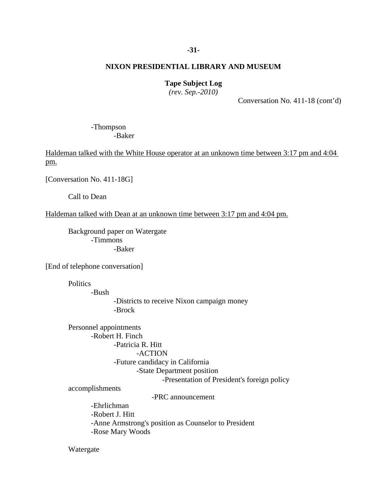#### **-31-**

# **NIXON PRESIDENTIAL LIBRARY AND MUSEUM**

## **Tape Subject Log**

*(rev. Sep.-2010)*

Conversation No. 411-18 (cont'd)

-Thompson -Baker

Haldeman talked with the White House operator at an unknown time between 3:17 pm and 4:04 pm.

[Conversation No. 411-18G]

Call to Dean

Haldeman talked with Dean at an unknown time between 3:17 pm and 4:04 pm.

Background paper on Watergate -Timmons -Baker

[End of telephone conversation]

**Politics** 

-Bush

-Districts to receive Nixon campaign money -Brock

Personnel appointments -Robert H. Finch -Patricia R. Hitt -ACTION -Future candidacy in California -State Department position -Presentation of President's foreign policy accomplishments

-PRC announcement

-Ehrlichman -Robert J. Hitt -Anne Armstrong's position as Counselor to President -Rose Mary Woods

Watergate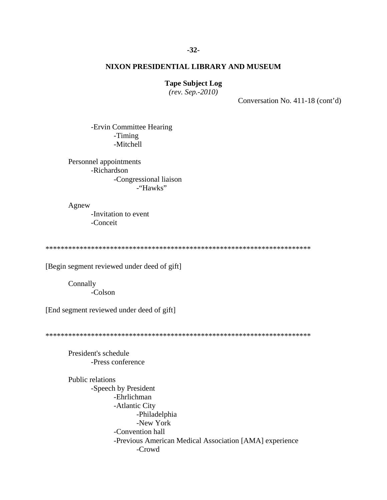#### **Tape Subject Log**

*(rev. Sep.-2010)*

Conversation No. 411-18 (cont'd)

-Ervin Committee Hearing -Timing -Mitchell

Personnel appointments -Richardson -Congressional liaison -"Hawks"

Agnew -Invitation to event -Conceit

\*\*\*\*\*\*\*\*\*\*\*\*\*\*\*\*\*\*\*\*\*\*\*\*\*\*\*\*\*\*\*\*\*\*\*\*\*\*\*\*\*\*\*\*\*\*\*\*\*\*\*\*\*\*\*\*\*\*\*\*\*\*\*\*\*\*\*\*\*\*

[Begin segment reviewed under deed of gift]

Connally -Colson

[End segment reviewed under deed of gift]

\*\*\*\*\*\*\*\*\*\*\*\*\*\*\*\*\*\*\*\*\*\*\*\*\*\*\*\*\*\*\*\*\*\*\*\*\*\*\*\*\*\*\*\*\*\*\*\*\*\*\*\*\*\*\*\*\*\*\*\*\*\*\*\*\*\*\*\*\*\*

President's schedule -Press conference

Public relations -Speech by President -Ehrlichman -Atlantic City -Philadelphia -New York -Convention hall -Previous American Medical Association [AMA] experience -Crowd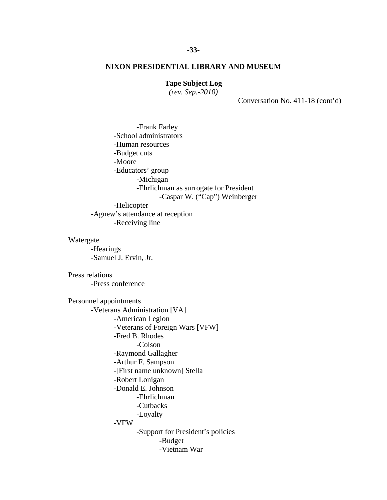# **Tape Subject Log**

*(rev. Sep.-2010)*

Conversation No. 411-18 (cont'd)

-Frank Farley -School administrators -Human resources -Budget cuts -Moore -Educators' group -Michigan -Ehrlichman as surrogate for President -Caspar W. ("Cap") Weinberger -Helicopter -Agnew's attendance at reception -Receiving line Watergate -Hearings -Samuel J. Ervin, Jr. Press relations -Press conference Personnel appointments -Veterans Administration [VA] -American Legion -Veterans of Foreign Wars [VFW] -Fred B. Rhodes -Colson -Raymond Gallagher -Arthur F. Sampson -[First name unknown] Stella -Robert Lonigan -Donald E. Johnson -Ehrlichman -Cutbacks -Loyalty -VFW -Support for President's policies -Budget -Vietnam War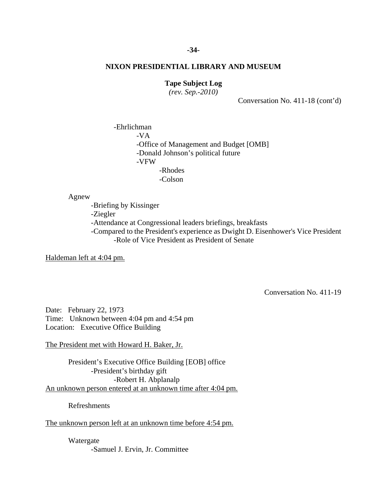#### **-34-**

#### **NIXON PRESIDENTIAL LIBRARY AND MUSEUM**

# **Tape Subject Log**

*(rev. Sep.-2010)*

Conversation No. 411-18 (cont'd)

-Ehrlichman -VA -Office of Management and Budget [OMB] -Donald Johnson's political future -VFW -Rhodes -Colson

Agnew

-Briefing by Kissinger

-Ziegler

-Attendance at Congressional leaders briefings, breakfasts

-Compared to the President's experience as Dwight D. Eisenhower's Vice President -Role of Vice President as President of Senate

Haldeman left at 4:04 pm.

Conversation No. 411-19

Date: February 22, 1973 Time: Unknown between 4:04 pm and 4:54 pm Location: Executive Office Building

The President met with Howard H. Baker, Jr.

President's Executive Office Building [EOB] office -President's birthday gift -Robert H. Abplanalp An unknown person entered at an unknown time after 4:04 pm.

Refreshments

The unknown person left at an unknown time before 4:54 pm.

Watergate -Samuel J. Ervin, Jr. Committee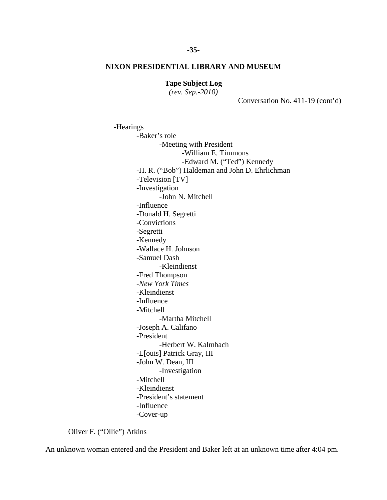**Tape Subject Log**

*(rev. Sep.-2010)*

Conversation No. 411-19 (cont'd)

-Hearings -Baker's role -Meeting with President -William E. Timmons -Edward M. ("Ted") Kennedy -H. R. ("Bob") Haldeman and John D. Ehrlichman -Television [TV] -Investigation -John N. Mitchell -Influence -Donald H. Segretti -Convictions -Segretti -Kennedy -Wallace H. Johnson -Samuel Dash -Kleindienst -Fred Thompson -*New York Times* -Kleindienst -Influence -Mitchell -Martha Mitchell -Joseph A. Califano -President -Herbert W. Kalmbach -L[ouis] Patrick Gray, III -John W. Dean, III -Investigation -Mitchell -Kleindienst -President's statement -Influence -Cover-up

Oliver F. ("Ollie") Atkins

An unknown woman entered and the President and Baker left at an unknown time after 4:04 pm.